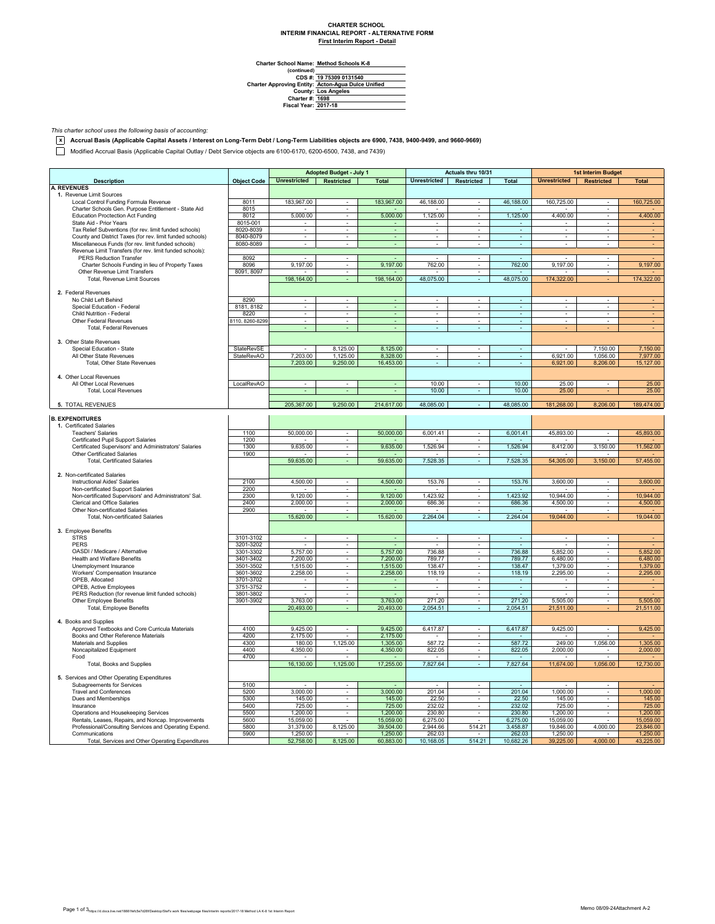## **CHARTER SCHOOL INTERIM FINANCIAL REPORT - ALTERNATIVE FORM First Interim Report - Detail**

**Method Schools K-8**

Charter School Name<br>
(continued)<br>
CDS #:<br>
Charter Approving Entity:<br>
County:<br>
Charter #:<br>
Fiscal Year: **19 75309 0131540 Acton-Agua Dulce Unified Los Angeles 1698 2017-18**

*This charter school uses the following basis of accounting:*

**x Accrual Basis (Applicable Capital Assets / Interest on Long-Term Debt / Long-Term Liabilities objects are 6900, 7438, 9400-9499, and 9660-9669)**

Modified Accrual Basis (Applicable Capital Outlay / Debt Service objects are 6100-6170, 6200-6500, 7438, and 7439)

|                                                           |                    | <b>Adopted Budget - July 1</b> |                             |                          | Actuals thru 10/31       |                               |                          | <b>1st Interim Budget</b>   |                          |                |
|-----------------------------------------------------------|--------------------|--------------------------------|-----------------------------|--------------------------|--------------------------|-------------------------------|--------------------------|-----------------------------|--------------------------|----------------|
| <b>Description</b>                                        | <b>Object Code</b> | <b>Unrestricted</b>            | Restricted                  | <b>Total</b>             | <b>Unrestricted</b>      | Restricted                    | <b>Total</b>             | <b>Unrestricted</b>         | Restricted               | <b>Total</b>   |
| <b>A. REVENUES</b>                                        |                    |                                |                             |                          |                          |                               |                          |                             |                          |                |
| 1. Revenue Limit Sources                                  |                    |                                |                             |                          |                          |                               |                          |                             |                          |                |
| Local Control Funding Formula Revenue                     | 8011               | 183,967.00                     | $\sim$                      | 183,967.00               | 46,188.00                | $\sim$                        | 46,188.00                | 160,725.00                  |                          | 160,725.00     |
| Charter Schools Gen. Purpose Entitlement - State Aid      | 8015               |                                |                             |                          |                          |                               |                          |                             |                          |                |
| <b>Education Proctection Act Funding</b>                  | 8012               | 5,000.00                       | $\sim$                      | 5,000.00                 | 1,125.00                 | ÷                             | 1,125.00                 | 4,400.00                    | ÷                        | 4,400.00       |
| State Aid - Prior Years                                   | 8015-001           |                                | $\omega$                    | ٠                        | ٠                        | $\omega$                      |                          |                             | ÷,                       |                |
| Tax Relief Subventions (for rev. limit funded schools)    | 8020-8039          | ÷                              | $\sim$                      | $\omega$                 | ÷.                       | $\sim$                        | $\blacksquare$           | $\mathcal{L}_{\mathcal{A}}$ | ×.                       |                |
| County and District Taxes (for rev. limit funded schools) | 8040-8079          | $\overline{\phantom{a}}$       | $\sim$                      | $\overline{\phantom{a}}$ | $\overline{\phantom{a}}$ | $\overline{\phantom{a}}$      | $\overline{\phantom{a}}$ | $\overline{\phantom{a}}$    | $\overline{\phantom{a}}$ | ٠              |
| Miscellaneous Funds (for rev. limit funded schools)       | 8080-8089          | ٠                              |                             | ä,                       | $\blacksquare$           | $\overline{\phantom{a}}$      | $\blacksquare$           |                             | $\bar{a}$                |                |
| Revenue Limit Transfers (for rev. limit funded schools):  |                    |                                |                             |                          |                          |                               |                          |                             |                          |                |
| <b>PERS Reduction Transfer</b>                            | 8092               |                                | $\sim$                      |                          | $\sim$                   | $\sim$                        | $\sim$                   |                             | ÷                        |                |
| Charter Schools Funding in lieu of Property Taxes         | 8096               | 9,197.00                       | $\mathcal{L}_{\mathcal{A}}$ | 9,197.00                 | 762.00                   | $\sim$                        | 762.00                   | 9,197.00                    | $\overline{\phantom{a}}$ | 9,197.00       |
| Other Revenue Limit Transfers                             | 8091, 8097         | $\mathbf{r}$                   | $\overline{\phantom{a}}$    | $\blacksquare$           | $\sim$                   | $\overline{\phantom{a}}$      | $\overline{\phantom{a}}$ |                             | $\overline{\phantom{a}}$ |                |
| Total, Revenue Limit Sources                              |                    | 198,164.00                     |                             | 198,164.00               | 48,075.00                |                               | 48,075.00                | 174,322.00                  |                          | 174,322.00     |
|                                                           |                    |                                |                             |                          |                          |                               |                          |                             |                          |                |
| 2. Federal Revenues                                       |                    |                                |                             |                          |                          |                               |                          |                             |                          |                |
| No Child Left Behind                                      | 8290               | $\mathbf{r}$                   | $\sim$                      | ÷.                       | $\mathbf{r}$             | $\sim$                        | $\mathbb{Z}^2$           | $\mathbf{r}$                | ×.                       |                |
| Special Education - Federal                               | 8181, 8182         | $\overline{\phantom{a}}$       | $\overline{\phantom{a}}$    | $\sim$                   | $\overline{\phantom{a}}$ | $\overline{\phantom{a}}$      | $\overline{\phantom{a}}$ | $\overline{\phantom{a}}$    | $\overline{\phantom{a}}$ |                |
| Child Nutrition - Federal                                 | 8220               | $\sim$                         | $\overline{\phantom{a}}$    | $\blacksquare$           | $\sim$                   | $\sim$                        | $\sim$                   | $\sim$                      | $\overline{\phantom{a}}$ |                |
| Other Federal Revenues                                    | 8110, 8260-8299    |                                |                             |                          |                          |                               | ٠                        |                             |                          |                |
| <b>Total, Federal Revenues</b>                            |                    |                                |                             |                          | ä,                       |                               | $\omega$                 |                             |                          |                |
|                                                           |                    |                                |                             |                          |                          |                               |                          |                             |                          |                |
| 3. Other State Revenues                                   |                    |                                |                             |                          |                          |                               |                          |                             |                          |                |
| Special Education - State                                 | <b>StateRevSE</b>  |                                | 8,125.00                    | 8,125.00                 | $\overline{\phantom{a}}$ | $\overline{\phantom{a}}$      | $\sim$                   |                             | 7,150.00                 | 7,150.00       |
| All Other State Revenues                                  | StateRevAO         | 7,203.00                       | 1,125.00                    | 8,328.00                 |                          | $\sim$                        | $\overline{\phantom{a}}$ | 6,921.00                    | 1,056.00                 | 7,977.00       |
| Total, Other State Revenues                               |                    | 7.203.00                       | 9,250.00                    | 16,453.00                |                          |                               |                          | 6,921.00                    | 8,206.00                 | 15,127.00      |
|                                                           |                    |                                |                             |                          |                          |                               |                          |                             |                          |                |
| 4. Other Local Revenues                                   |                    |                                |                             |                          |                          |                               |                          |                             |                          |                |
| All Other Local Revenues                                  | LocalRevAO         | $\overline{\phantom{a}}$       | $\blacksquare$              | $\omega$                 | 10.00                    | $\overline{\phantom{a}}$      | 10.00                    | 25.00                       | $\overline{\phantom{a}}$ | 25.00          |
|                                                           |                    |                                |                             |                          |                          | ÷.                            |                          |                             |                          |                |
| Total, Local Revenues                                     |                    |                                |                             |                          | 10.00                    |                               | 10.00                    | 25.00                       |                          | 25.00          |
|                                                           |                    |                                |                             |                          |                          | $\sim$                        |                          |                             |                          |                |
| 5. TOTAL REVENUES                                         |                    | 205,367.00                     | 9,250.00                    | 214,617.00               | 48,085.00                |                               | 48,085.00                | 181,268.00                  | 8,206.00                 | 189,474.00     |
|                                                           |                    |                                |                             |                          |                          |                               |                          |                             |                          |                |
| <b>B. EXPENDITURES</b>                                    |                    |                                |                             |                          |                          |                               |                          |                             |                          |                |
| 1. Certificated Salaries                                  |                    |                                |                             |                          |                          |                               |                          |                             |                          |                |
| <b>Teachers' Salaries</b>                                 | 1100               | 50,000.00                      | $\sim$                      | 50,000,00                | 6,001.41                 | $\sim$                        | 6,001.41                 | 45,893.00                   | $\alpha$                 | 45,893.00      |
| Certificated Pupil Support Salaries                       | 1200               |                                |                             |                          |                          |                               |                          |                             |                          |                |
| Certificated Supervisors' and Administrators' Salaries    | 1300               | 9,635.00                       | $\mathcal{L}_{\mathcal{A}}$ | 9,635.00                 | 1,526.94                 | $\omega$                      | 1,526.94                 | 8,412.00                    | 3,150.00                 | 11,562.00      |
| <b>Other Certificated Salaries</b>                        | 1900               |                                | ÷.                          |                          |                          | $\blacksquare$                |                          |                             |                          |                |
| <b>Total, Certificated Salaries</b>                       |                    | 59,635.00                      | ÷.                          | 59,635.00                | 7,528.35                 | $\sim$                        | 7,528.35                 | 54,305.00                   | 3,150.00                 | 57,455.00      |
|                                                           |                    |                                |                             |                          |                          |                               |                          |                             |                          |                |
| 2. Non-certificated Salaries                              |                    |                                |                             |                          |                          |                               |                          |                             |                          |                |
| Instructional Aides' Salaries                             | 2100               | 4,500.00                       | $\overline{\phantom{a}}$    | 4,500.00                 | 153.76                   | $\overline{\phantom{a}}$      | 153.76                   | 3,600.00                    | $\alpha$                 | 3,600.00       |
| Non-certificated Support Salaries                         | 2200               |                                | $\sim$                      |                          |                          | $\alpha$                      |                          |                             | ٠                        |                |
| Non-certificated Supervisors' and Administrators' Sal.    | 2300               | 9,120.00                       | ÷                           | 9,120.00                 | 1,423.92                 | $\sim$                        | 1,423.92                 | 10,944.00                   | ÷                        | 10,944.00      |
| Clerical and Office Salaries                              | 2400               | 2,000.00                       | $\overline{\phantom{a}}$    | 2,000.00                 | 686.36                   | $\sim$                        | 686.36                   | 4,500.00                    | $\overline{\phantom{a}}$ | 4,500.00       |
| Other Non-certificated Salaries                           | 2900               |                                | $\sim$                      |                          |                          | $\sim$                        |                          |                             | ٠                        |                |
| Total, Non-certificated Salaries                          |                    | 15,620.00                      |                             | 15,620.00                | 2,264.04                 |                               | 2,264.04                 | 19,044.00                   |                          | 19,044.00      |
|                                                           |                    |                                |                             |                          |                          |                               |                          |                             |                          |                |
| 3. Employee Benefits                                      |                    |                                |                             |                          |                          |                               |                          |                             |                          |                |
| <b>STRS</b>                                               | 3101-3102          | ×.                             | $\mathcal{L}_{\mathcal{A}}$ | ÷,                       | $\sim$                   | ×.                            | $\omega$                 | $\overline{\phantom{a}}$    | $\sim$                   |                |
| PERS                                                      | 3201-3202          |                                | $\overline{\phantom{a}}$    |                          |                          | $\overline{\phantom{a}}$      |                          |                             | $\overline{\phantom{a}}$ |                |
| OASDI / Medicare / Alternative                            | 3301-3302          | 5,757.00                       |                             | 5,757.00                 | 736.88                   |                               | 736.88                   | 5,852.00                    | $\overline{\phantom{a}}$ | 5,852.00       |
| <b>Health and Welfare Benefits</b>                        | 3401-3402          | 7,200.00                       | $\sim$                      | 7,200.00                 | 789.77                   | $\overline{\phantom{a}}$      | 789.77                   | 6,480.00                    | ×.                       | 6,480.00       |
| Unemployment Insurance                                    | 3501-3502          | 1.515.00                       | $\sim$                      | 1,515.00                 | 138.47                   | $\sim$                        | 138.47                   | 1.379.00                    | ×.                       | 1,379.00       |
| Workers' Compensation Insurance                           | 3601-3602          | 2,258.00                       | $\mathcal{L}_{\mathcal{A}}$ | 2,258.00                 | 118.19                   | $\blacksquare$                | 118.19                   | 2,295.00                    | $\overline{\phantom{a}}$ | 2,295.00       |
| OPEB, Allocated                                           | 3701-3702          | $\overline{\phantom{a}}$       | $\mathcal{L}_{\mathcal{A}}$ | $\sim$                   | $\overline{\phantom{a}}$ | $\sim$                        | $\sim$                   | $\overline{\phantom{a}}$    | $\overline{\phantom{a}}$ | $\blacksquare$ |
| OPEB, Active Employees                                    | 3751-3752          |                                | ٠                           | ÷                        | $\overline{\phantom{a}}$ | $\sim$                        | $\overline{\phantom{a}}$ |                             | $\overline{\phantom{a}}$ |                |
| PERS Reduction (for revenue limit funded schools)         | 3801-3802          |                                |                             |                          | ×,                       | $\overline{\phantom{a}}$      |                          |                             | ×.                       |                |
| Other Employee Benefits                                   | 3901-3902          | 3,763.00                       | $\sim$                      | 3,763.00                 | 271.20                   | $\omega$                      | 271.20                   | 5,505.00                    | ÷.                       | 5,505.00       |
| Total, Employee Benefits                                  |                    | 20,493.00                      | ÷.                          | 20,493.00                | 2,054.51                 | ÷.                            | 2,054.51                 | 21,511.00                   |                          | 21,511.00      |
|                                                           |                    |                                |                             |                          |                          |                               |                          |                             |                          |                |
| 4. Books and Supplies                                     |                    |                                |                             |                          |                          |                               |                          |                             |                          |                |
| Approved Textbooks and Core Curricula Materials           | 4100               | 9,425.00                       |                             | 9,425.00                 | 6,417.87                 |                               | 6,417.87                 | 9,425.00                    | ÷                        | 9,425.00       |
| Books and Other Reference Materials                       | 4200               | 2,175.00                       |                             | 2,175.00                 |                          | $\overline{\phantom{a}}$      |                          |                             |                          |                |
| Materials and Supplies                                    | 4300               | 180.00                         | 1,125.00                    | 1,305.00                 | 587.72                   | $\sim$                        | 587.72                   | 249.00                      | 1,056.00                 | 1,305.00       |
| Noncapitalized Equipment                                  | 4400               | 4,350.00                       |                             | 4,350.00                 | 822.05                   | $\sim$                        | 822.05                   | 2,000.00                    |                          | 2,000.00       |
|                                                           | 4700               |                                | $\sim$                      |                          |                          |                               |                          |                             | ٠                        |                |
| Food                                                      |                    | 16,130.00                      | 1,125.00                    | 17,255.00                | 7,827.64                 | $\overline{\phantom{a}}$<br>÷ | 7,827.64                 | 11,674.00                   | 1,056.00                 |                |
| Total, Books and Supplies                                 |                    |                                |                             |                          |                          |                               |                          |                             |                          | 12,730.00      |
|                                                           |                    |                                |                             |                          |                          |                               |                          |                             |                          |                |
| 5. Services and Other Operating Expenditures              |                    |                                |                             |                          |                          |                               |                          |                             |                          |                |
| Subagreements for Services                                | 5100               |                                | $\sim$                      |                          |                          | ÷                             |                          |                             | ×                        |                |
| <b>Travel and Conferences</b>                             | 5200               | 3,000.00                       | $\overline{\phantom{a}}$    | 3,000.00                 | 201.04                   | $\overline{\phantom{a}}$      | 201.04                   | 1,000.00                    | $\overline{\phantom{a}}$ | 1,000.00       |
| Dues and Memberships                                      | 5300               | 145.00                         | $\sim$                      | 145.00                   | 22.50                    | $\sim$                        | 22.50                    | 145.00                      | ÷.                       | 145.00         |
| Insurance                                                 | 5400               | 725.00                         |                             | 725.00                   | 232.02                   |                               | 232.02                   | 725.00                      |                          | 725.00         |
| Operations and Housekeeping Services                      | 5500               | 1,200.00                       | ÷.                          | 1,200.00                 | 230.80                   | $\sim$                        | 230.80                   | 1,200.00                    | ×.                       | 1,200.00       |
| Rentals, Leases, Repairs, and Noncap. Improvements        | 5600               | 15,059.00                      |                             | 15,059.00                | 6,275.00                 |                               | 6,275.00                 | 15,059.00                   |                          | 15,059.00      |
| Professional/Consulting Services and Operating Expend.    | 5800               | 31,379.00                      | 8,125.00                    | 39,504.00                | 2,944.66                 | 514.21                        | 3,458.87                 | 19,846.00                   | 4,000.00                 | 23,846.00      |
| Communications                                            | 5900               | 1,250.00                       |                             | 1,250.00                 | 262.03                   | $\sim$                        | 262.03                   | 1,250.00                    |                          | 1,250.00       |
| Total, Services and Other Operating Expenditures          |                    | 52,758.00                      | 8,125.00                    | 60,883.00                | 10,168.05                | 514.21                        | 10,682.26                | 39,225.00                   | 4,000.00                 | 43,225.00      |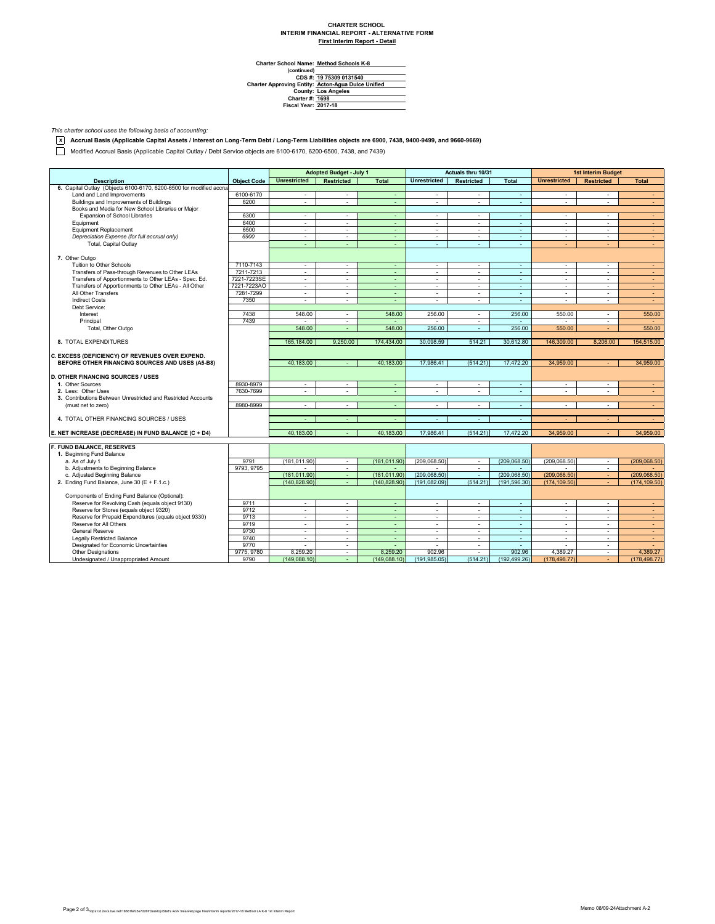## **CHARTER SCHOOL INTERIM FINANCIAL REPORT - ALTERNATIVE FORM First Interim Report - Detail**

**Method Schools K-8**

Charter School Name<br>
(continued)<br>
CDS #:<br>
Charter Approving Entity:<br>
County:<br>
Charter #:<br>
Fiscal Year: **19 75309 0131540 Acton-Agua Dulce Unified Los Angeles 1698 2017-18**

*This charter school uses the following basis of accounting:*

**x Accrual Basis (Applicable Capital Assets / Interest on Long-Term Debt / Long-Term Liabilities objects are 6900, 7438, 9400-9499, and 9660-9669)**

Modified Accrual Basis (Applicable Capital Outlay / Debt Service objects are 6100-6170, 6200-6500, 7438, and 7439)

|                                                                     |                    | <b>Adopted Budget - July 1</b> |                   | Actuals thru 10/31 |                          |            | <b>1st Interim Budget</b> |                          |                          |                  |
|---------------------------------------------------------------------|--------------------|--------------------------------|-------------------|--------------------|--------------------------|------------|---------------------------|--------------------------|--------------------------|------------------|
| <b>Description</b>                                                  | <b>Object Code</b> | <b>Unrestricted</b>            | <b>Restricted</b> | <b>Total</b>       | <b>Unrestricted</b>      | Restricted | <b>Total</b>              | <b>Unrestricted</b>      | <b>Restricted</b>        | <b>Total</b>     |
| 6. Capital Outlay (Objects 6100-6170, 6200-6500 for modified accrua |                    |                                |                   |                    |                          |            |                           |                          |                          |                  |
| Land and Land Improvements                                          | 6100-6170          | ×.                             | $\sim$            | $\sim$             | $\sim$                   | ×.         | $\sim$                    | $\sim$                   | $\sim$                   | $\sim$           |
| Buildings and Improvements of Buildings                             | 6200               | ÷.                             | $\sim$            | ÷.                 | ÷.                       | $\sim$     | ÷.                        | ÷                        | ÷                        | $\omega_{\rm c}$ |
| Books and Media for New School Libraries or Major                   |                    |                                |                   |                    |                          |            |                           |                          |                          |                  |
| Expansion of School Libraries                                       | 6300               | ÷.                             | ×.                | ÷.                 | ÷.                       | ×.         | ÷.                        | ×.                       | ä,                       | $\sim$           |
| Equipment                                                           | 6400               | $\blacksquare$                 | $\sim$            | ÷.                 | $\blacksquare$           | $\sim$     | ÷.                        | ÷                        | $\mathbf{r}$             | $\sim$           |
| <b>Equipment Replacement</b>                                        | 6500               | $\mathcal{L}_{\mathcal{A}}$    | $\sim$            | $\sim$             | $\overline{\phantom{a}}$ | $\sim$     | ÷.                        | $\overline{\phantom{a}}$ | ٠                        | $\sim$           |
| Depreciation Expense (for full accrual only)                        | 6900               | $\overline{\phantom{a}}$       | $\sim$            | ä,                 | $\overline{\phantom{a}}$ | $\sim$     | ÷                         | $\sim$                   | ٠                        | $\sim$           |
| Total, Capital Outlay                                               |                    | ÷.                             | ÷.                | ÷.                 | ÷                        | ÷          | ä,                        | ÷                        |                          | $\sim$           |
|                                                                     |                    |                                |                   |                    |                          |            |                           |                          |                          |                  |
| 7. Other Outgo                                                      |                    |                                |                   |                    |                          |            |                           |                          |                          |                  |
| Tuition to Other Schools                                            | 7110-7143          | $\sim$                         | $\sim$            | ä,                 | $\sim$                   | $\sim$     | ä,                        | ÷.                       | ÷                        | $\sim$           |
| Transfers of Pass-through Revenues to Other LEAs                    | 7211-7213          | $\sim$                         | $\sim$            | ÷                  | $\overline{\phantom{a}}$ | $\sim$     | $\sim$                    | $\overline{\phantom{a}}$ | $\sim$                   | $\sim$           |
| Transfers of Apportionments to Other LEAs - Spec. Ed.               | 7221-7223SE        | ÷.                             | $\sim$            | $\sim$             | $\overline{\phantom{a}}$ | $\sim$     | ÷                         | $\sim$                   | $\mathbf{r}$             | $\omega$         |
| Transfers of Apportionments to Other LEAs - All Other               | 7221-7223AO        | ÷.                             | $\sim$            | ÷.                 | ÷.                       | $\sim$     | ÷.                        | ä,                       | ÷.                       | $\sim$           |
| All Other Transfers                                                 | 7281-7299          | $\sim$                         | $\sim$            | $\sim$             | $\sim$                   | $\sim$     | $\sim$                    | $\sim$                   | $\overline{\phantom{a}}$ | $\sim$           |
| <b>Indirect Costs</b>                                               | 7350               | $\sim$                         | $\sim$            | $\sim$             | $\Delta$                 | $\sim$     | $\sim$                    | $\Delta$                 | $\mathbf{r}$             | $\sim$           |
| Debt Service:                                                       |                    |                                |                   |                    |                          |            |                           |                          |                          |                  |
| Interest                                                            | 7438               | 548.00                         | $\sim$            | 548.00             | 256.00                   | $\sim$     | 256.00                    | 550.00                   | $\sim$                   | 550.00           |
| Principal                                                           | 7439               |                                | $\sim$            |                    |                          | $\sim$     | ÷                         |                          | $\overline{\phantom{a}}$ | $\sim$           |
|                                                                     |                    | 548.00                         | ÷                 | 548.00             | 256.00                   | $\sim$     | 256.00                    | 550.00                   |                          | 550.00           |
| Total, Other Outgo                                                  |                    |                                |                   |                    |                          |            |                           |                          |                          |                  |
| 8. TOTAL EXPENDITURES                                               |                    | 165,184.00                     | 9,250.00          | 174,434.00         | 30,098.59                | 514.21     | 30.612.80                 | 146,309.00               | 8,206.00                 | 154,515.00       |
|                                                                     |                    |                                |                   |                    |                          |            |                           |                          |                          |                  |
| C. EXCESS (DEFICIENCY) OF REVENUES OVER EXPEND.                     |                    |                                |                   |                    |                          |            |                           |                          |                          |                  |
| BEFORE OTHER FINANCING SOURCES AND USES (A5-B8)                     |                    | 40.183.00                      | $\sim$            | 40.183.00          | 17,986.41                | (514.21)   | 17,472.20                 | 34,959.00                |                          | 34.959.00        |
|                                                                     |                    |                                |                   |                    |                          |            |                           |                          |                          |                  |
| <b>D. OTHER FINANCING SOURCES / USES</b>                            |                    |                                |                   |                    |                          |            |                           |                          |                          |                  |
| 1. Other Sources                                                    | 8930-8979          | $\overline{\phantom{a}}$       | $\sim$            | ÷                  | $\Delta$                 | $\sim$     | $\omega$                  | $\Delta$                 | ٠                        | $\sim$           |
| 2. Less: Other Uses                                                 | 7630-7699          | ÷                              | ÷.                | $\sim$             | ÷                        | ÷          | ä,                        | ÷                        | ÷.                       | $\sim$           |
|                                                                     |                    |                                |                   |                    |                          |            |                           |                          |                          |                  |
| 3. Contributions Between Unrestricted and Restricted Accounts       |                    |                                |                   |                    |                          |            |                           |                          |                          |                  |
| (must net to zero)                                                  | 8980-8999          | $\sim$                         | $\sim$            | ÷                  | $\sim$                   | $\sim$     | ÷                         | $\sim$                   | $\mathbf{r}$             | $\sim$           |
|                                                                     |                    |                                |                   |                    |                          |            |                           |                          |                          |                  |
| 4. TOTAL OTHER FINANCING SOURCES / USES                             |                    | $\sim$                         | $\sim$            | ÷                  | $\sim$                   | $\sim$     | $\sim$                    |                          |                          | $\sim$           |
|                                                                     |                    |                                |                   |                    |                          |            |                           | 34,959.00                |                          |                  |
| E. NET INCREASE (DECREASE) IN FUND BALANCE (C + D4)                 |                    | 40,183.00                      |                   | 40,183.00          | 17,986.41                | (514.21)   | 17,472.20                 |                          |                          | 34,959.00        |
| F. FUND BALANCE, RESERVES                                           |                    |                                |                   |                    |                          |            |                           |                          |                          |                  |
| 1. Beginning Fund Balance                                           |                    |                                |                   |                    |                          |            |                           |                          |                          |                  |
| a. As of July 1                                                     | 9791               | (181.011.90)                   | $\sim$            | (181.011.90)       | (209.068.50)             | $\sim$     | (209.068.50)              | (209.068.50)             | $\sim$                   | (209.068.50)     |
| b. Adjustments to Beginning Balance                                 | 9793, 9795         |                                | $\sim$            |                    |                          | $\sim$     |                           |                          | ٠                        |                  |
|                                                                     |                    | (181.011.90)                   | $\sim$            | (181, 011.90)      | (209.068.50)             | ×.         | (209, 068.50)             | (209.068.50)             | $\sim$                   | (209.068.50)     |
| c. Adjusted Beginning Balance                                       |                    | (140.828.90)                   | $\sim$            | (140.828.90)       | (191.082.09)             | (514.21)   | (191.596.30)              |                          |                          | (174, 109.50)    |
| 2. Ending Fund Balance, June 30 (E + F.1.c.)                        |                    |                                |                   |                    |                          |            |                           | (174, 109.50)            |                          |                  |
|                                                                     |                    |                                |                   |                    |                          |            |                           |                          |                          |                  |
| Components of Ending Fund Balance (Optional):                       |                    |                                |                   |                    |                          |            |                           |                          |                          |                  |
| Reserve for Revolving Cash (equals object 9130)                     | 9711               | $\sim$                         | $\sim$            | $\sim$             | $\sim$                   | $\sim$     | $\sim$                    | $\sim$                   | ×.                       | $\sim$           |
| Reserve for Stores (equals object 9320)                             | 9712               | $\blacksquare$                 | $\sim$            | ÷.                 | $\overline{\phantom{a}}$ | $\sim$     | ÷.                        | $\overline{a}$           | ٠                        | $\sim$           |
| Reserve for Prepaid Expenditures (equals object 9330)               | 9713               | $\sim$                         | $\sim$            | $\sim$             | $\overline{\phantom{a}}$ | $\sim$     | $\sim$                    | $\sim$                   | $\mathbf{r}$             | $\sim$           |
| Reserve for All Others                                              | 9719               | $\sim$                         | $\sim$            | $\sim$             | $\sim$                   | $\sim$     | $\sim$                    | $\sim$                   | ×.                       | $\sim$           |
| <b>General Reserve</b>                                              | 9730               | ÷.                             | $\sim$            | ÷.                 | $\blacksquare$           | $\sim$     | ÷.                        | ٠                        | ٠                        | $\sim$           |
| <b>Legally Restricted Balance</b>                                   | 9740               | $\sim$                         | $\sim$            | $\sim$             | $\sim$                   | $\sim$     | $\sim$                    | $\sim$                   | $\sim$                   | $\sim$           |
| Designated for Economic Uncertainties                               | 9770               | $\sim$                         | $\sim$            | $\sim$             | $\sim$                   | $\sim$     | $\sim$                    | $\sim$                   | $\sim$                   | $\sim$           |
| <b>Other Designations</b>                                           | 9775, 9780         | 8.259.20                       | $\sim$            | 8.259.20           | 902.96                   |            | 902.96                    | 4.389.27                 | ÷.                       | 4,389.27         |
| Undesignated / Unappropriated Amount                                | 9790               | (149, 088.10)                  | $\sim$            | (149,088.10)       | (191, 985.05)            | (514.21)   | (192, 499.26)             | (178.498.77)             | $\overline{\phantom{a}}$ | (178, 498.77)    |